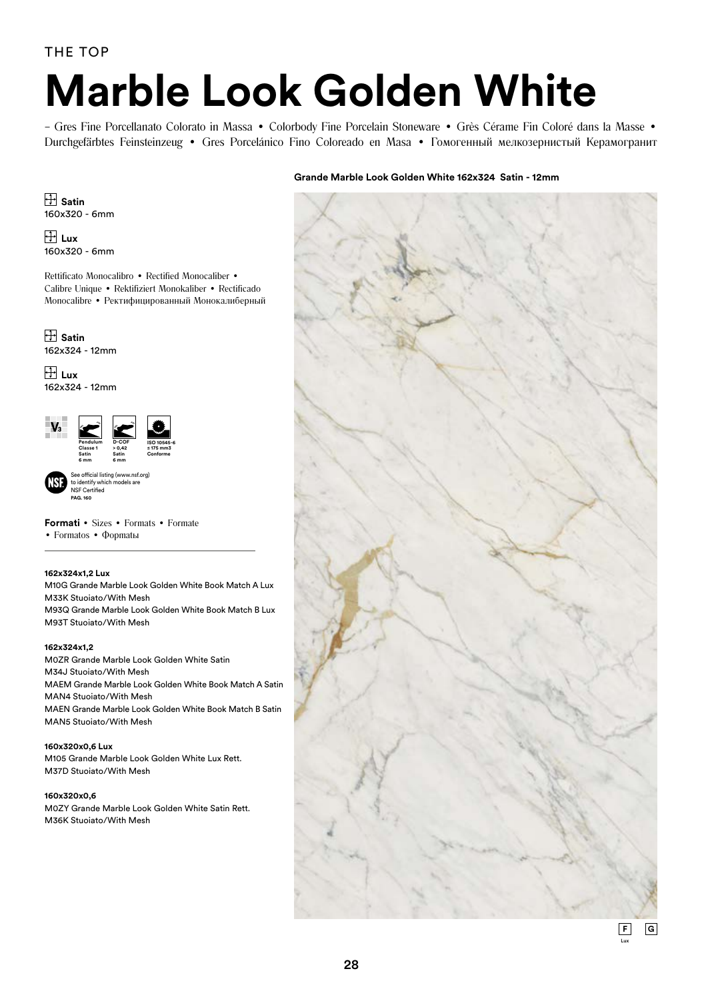# **Marble Look Golden White**

– Gres Fine Porcellanato Colorato in Massa • Colorbody Fine Porcelain Stoneware • Grès Cérame Fin Coloré dans la Masse • Durchgefärbtes Feinsteinzeug • Gres Porcelánico Fino Coloreado en Masa • Гомогенный мелкозернистый Керамогранит

## **Grande Marble Look Golden White 162x324 Satin - 12mm**

 **Satin** 160x320 - 6mm

 **Lux** 160x320 - 6mm

Rettificato Monocalibro • Rectified Monocaliber • Calibre Unique • Rektifiziert Monokaliber • Rectificado Monocalibre • Ректифицированный Монокалиберный

 **Satin** 162x324 - 12mm

 $\overline{H}$  Lux 162x324 - 12mm



**Formati** • Sizes • Formats • Formate • Formatos • Фортаны

#### **162x324x1,2 Lux**

M10G Grande Marble Look Golden White Book Match A Lux M33K Stuoiato/With Mesh M93Q Grande Marble Look Golden White Book Match B Lux M93T Stuoiato/With Mesh

#### **162x324x1,2**

M0ZR Grande Marble Look Golden White Satin M34J Stuoiato/With Mesh MAEM Grande Marble Look Golden White Book Match A Satin MAN4 Stuoiato/With Mesh MAEN Grande Marble Look Golden White Book Match B Satin MAN5 Stuoiato/With Mesh

## **160x320x0,6 Lux**

M105 Grande Marble Look Golden White Lux Rett. M37D Stuoiato/With Mesh

#### **160x320x0,6**

M0ZY Grande Marble Look Golden White Satin Rett. M36K Stuoiato/With Mesh

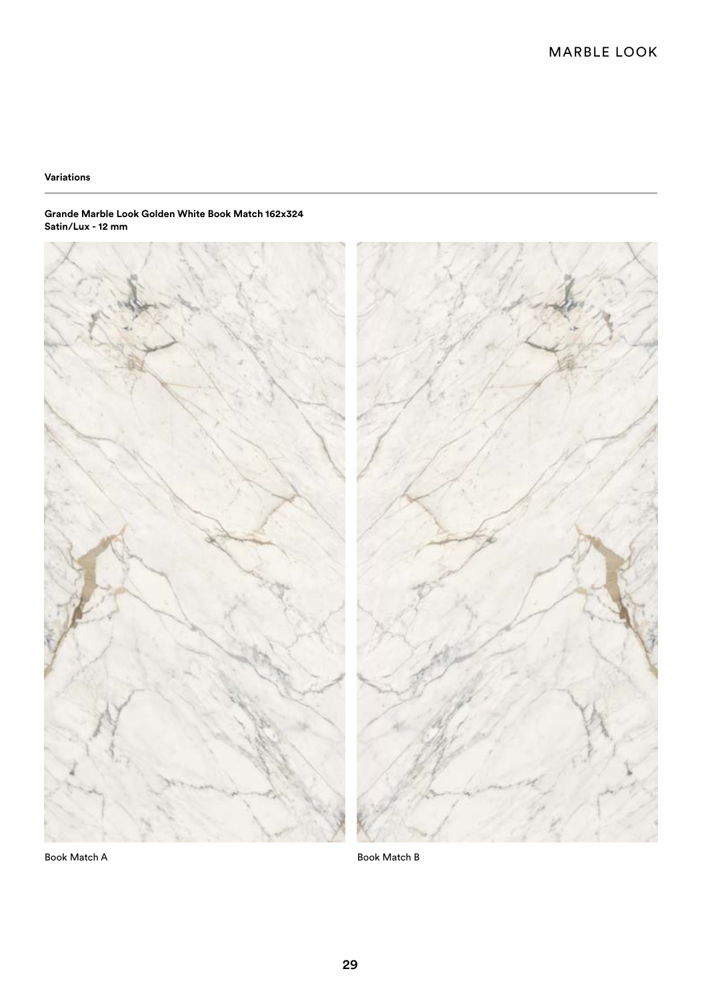## **Variations**

#### **Grande Marble Look Golden White Book Match 162x324 Satin/Lux - 12 mm**



Book Match A Book Match B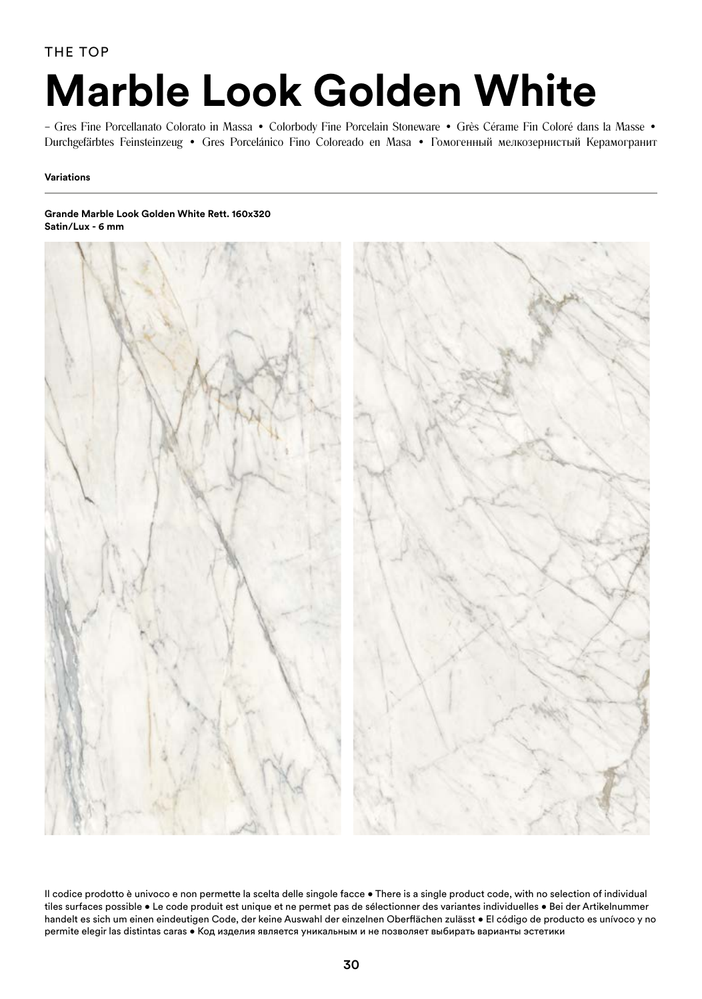THE TOP

## **Marble Look Golden White**

– Gres Fine Porcellanato Colorato in Massa • Colorbody Fine Porcelain Stoneware • Grès Cérame Fin Coloré dans la Masse • Durchgefärbtes Feinsteinzeug • Gres Porcelánico Fino Coloreado en Masa • Гомогенный мелкозернистый Керамогранит

## **Variations**

#### **Grande Marble Look Golden White Rett. 160x320 Satin/Lux - 6 mm**



Il codice prodotto è univoco e non permette la scelta delle singole facce • There is a single product code, with no selection of individual tiles surfaces possible • Le code produit est unique et ne permet pas de sélectionner des variantes individuelles • Bei der Artikelnummer handelt es sich um einen eindeutigen Code, der keine Auswahl der einzelnen Oberflächen zulässt • El código de producto es unívoco y no permite elegir las distintas caras • Код изделия является уникальным и не позволяет выбирать варианты эстетики